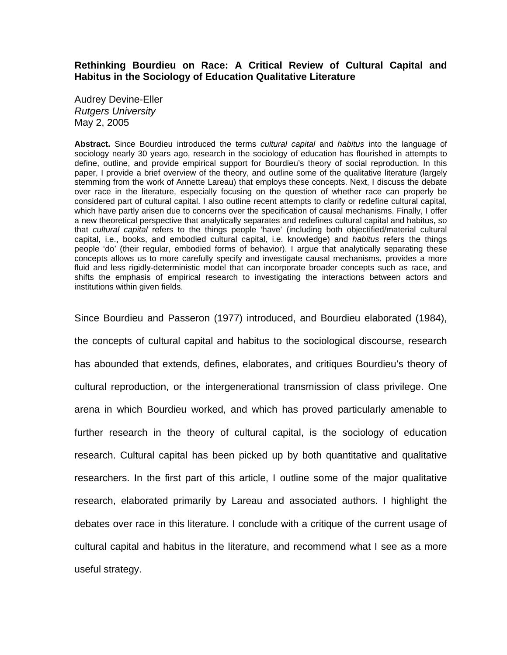# **Rethinking Bourdieu on Race: A Critical Review of Cultural Capital and Habitus in the Sociology of Education Qualitative Literature**

Audrey Devine-Eller *Rutgers University*  May 2, 2005

**Abstract.** Since Bourdieu introduced the terms *cultural capital* and *habitus* into the language of sociology nearly 30 years ago, research in the sociology of education has flourished in attempts to define, outline, and provide empirical support for Bourdieu's theory of social reproduction. In this paper, I provide a brief overview of the theory, and outline some of the qualitative literature (largely stemming from the work of Annette Lareau) that employs these concepts. Next, I discuss the debate over race in the literature, especially focusing on the question of whether race can properly be considered part of cultural capital. I also outline recent attempts to clarify or redefine cultural capital, which have partly arisen due to concerns over the specification of causal mechanisms. Finally, I offer a new theoretical perspective that analytically separates and redefines cultural capital and habitus, so that *cultural capital* refers to the things people 'have' (including both objectified/material cultural capital, i.e., books, and embodied cultural capital, i.e. knowledge) and *habitus* refers the things people 'do' (their regular, embodied forms of behavior). I argue that analytically separating these concepts allows us to more carefully specify and investigate causal mechanisms, provides a more fluid and less rigidly-deterministic model that can incorporate broader concepts such as race, and shifts the emphasis of empirical research to investigating the interactions between actors and institutions within given fields.

Since Bourdieu and Passeron (1977) introduced, and Bourdieu elaborated (1984), the concepts of cultural capital and habitus to the sociological discourse, research has abounded that extends, defines, elaborates, and critiques Bourdieu's theory of cultural reproduction, or the intergenerational transmission of class privilege. One arena in which Bourdieu worked, and which has proved particularly amenable to further research in the theory of cultural capital, is the sociology of education research. Cultural capital has been picked up by both quantitative and qualitative researchers. In the first part of this article, I outline some of the major qualitative research, elaborated primarily by Lareau and associated authors. I highlight the debates over race in this literature. I conclude with a critique of the current usage of cultural capital and habitus in the literature, and recommend what I see as a more useful strategy.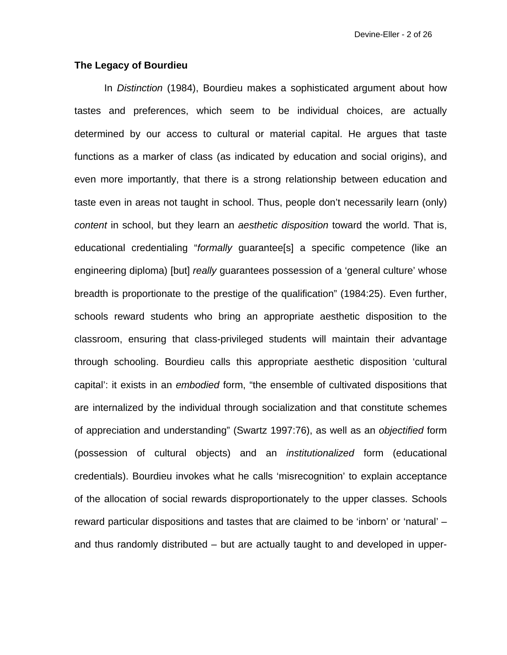### **The Legacy of Bourdieu**

 In *Distinction* (1984), Bourdieu makes a sophisticated argument about how tastes and preferences, which seem to be individual choices, are actually determined by our access to cultural or material capital. He argues that taste functions as a marker of class (as indicated by education and social origins), and even more importantly, that there is a strong relationship between education and taste even in areas not taught in school. Thus, people don't necessarily learn (only) *content* in school, but they learn an *aesthetic disposition* toward the world. That is, educational credentialing "*formally* guarantee[s] a specific competence (like an engineering diploma) [but] *really* guarantees possession of a 'general culture' whose breadth is proportionate to the prestige of the qualification" (1984:25). Even further, schools reward students who bring an appropriate aesthetic disposition to the classroom, ensuring that class-privileged students will maintain their advantage through schooling. Bourdieu calls this appropriate aesthetic disposition 'cultural capital': it exists in an *embodied* form, "the ensemble of cultivated dispositions that are internalized by the individual through socialization and that constitute schemes of appreciation and understanding" (Swartz 1997:76), as well as an *objectified* form (possession of cultural objects) and an *institutionalized* form (educational credentials). Bourdieu invokes what he calls 'misrecognition' to explain acceptance of the allocation of social rewards disproportionately to the upper classes. Schools reward particular dispositions and tastes that are claimed to be 'inborn' or 'natural' – and thus randomly distributed – but are actually taught to and developed in upper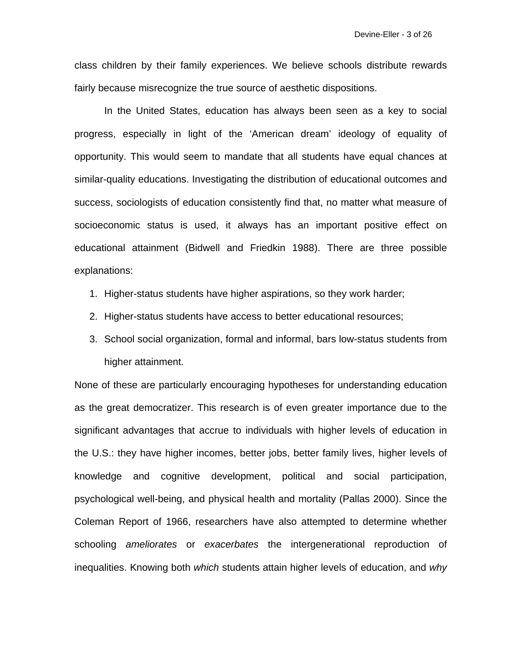class children by their family experiences. We believe schools distribute rewards fairly because misrecognize the true source of aesthetic dispositions.

 In the United States, education has always been seen as a key to social progress, especially in light of the 'American dream' ideology of equality of opportunity. This would seem to mandate that all students have equal chances at similar-quality educations. Investigating the distribution of educational outcomes and success, sociologists of education consistently find that, no matter what measure of socioeconomic status is used, it always has an important positive effect on educational attainment (Bidwell and Friedkin 1988). There are three possible explanations:

- 1. Higher-status students have higher aspirations, so they work harder;
- 2. Higher-status students have access to better educational resources;
- 3. School social organization, formal and informal, bars low-status students from higher attainment.

None of these are particularly encouraging hypotheses for understanding education as the great democratizer. This research is of even greater importance due to the significant advantages that accrue to individuals with higher levels of education in the U.S.: they have higher incomes, better jobs, better family lives, higher levels of knowledge and cognitive development, political and social participation, psychological well-being, and physical health and mortality (Pallas 2000). Since the Coleman Report of 1966, researchers have also attempted to determine whether schooling *ameliorates* or *exacerbates* the intergenerational reproduction of inequalities. Knowing both *which* students attain higher levels of education, and *why*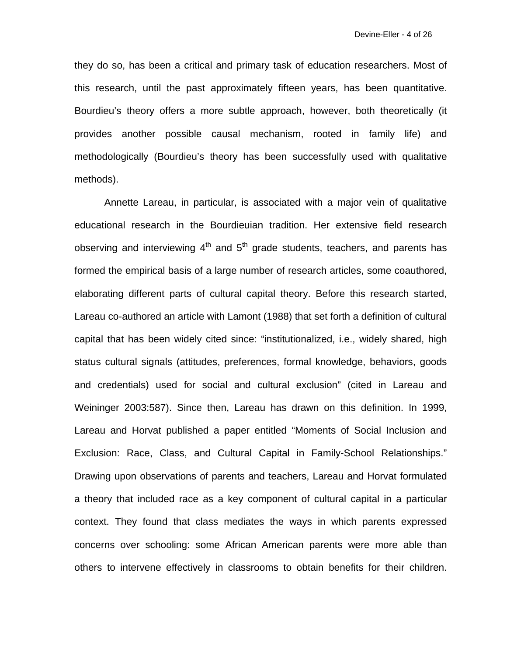they do so, has been a critical and primary task of education researchers. Most of this research, until the past approximately fifteen years, has been quantitative. Bourdieu's theory offers a more subtle approach, however, both theoretically (it provides another possible causal mechanism, rooted in family life) and methodologically (Bourdieu's theory has been successfully used with qualitative methods).

 Annette Lareau, in particular, is associated with a major vein of qualitative educational research in the Bourdieuian tradition. Her extensive field research observing and interviewing  $4<sup>th</sup>$  and  $5<sup>th</sup>$  grade students, teachers, and parents has formed the empirical basis of a large number of research articles, some coauthored, elaborating different parts of cultural capital theory. Before this research started, Lareau co-authored an article with Lamont (1988) that set forth a definition of cultural capital that has been widely cited since: "institutionalized, i.e., widely shared, high status cultural signals (attitudes, preferences, formal knowledge, behaviors, goods and credentials) used for social and cultural exclusion" (cited in Lareau and Weininger 2003:587). Since then, Lareau has drawn on this definition. In 1999, Lareau and Horvat published a paper entitled "Moments of Social Inclusion and Exclusion: Race, Class, and Cultural Capital in Family-School Relationships." Drawing upon observations of parents and teachers, Lareau and Horvat formulated a theory that included race as a key component of cultural capital in a particular context. They found that class mediates the ways in which parents expressed concerns over schooling: some African American parents were more able than others to intervene effectively in classrooms to obtain benefits for their children.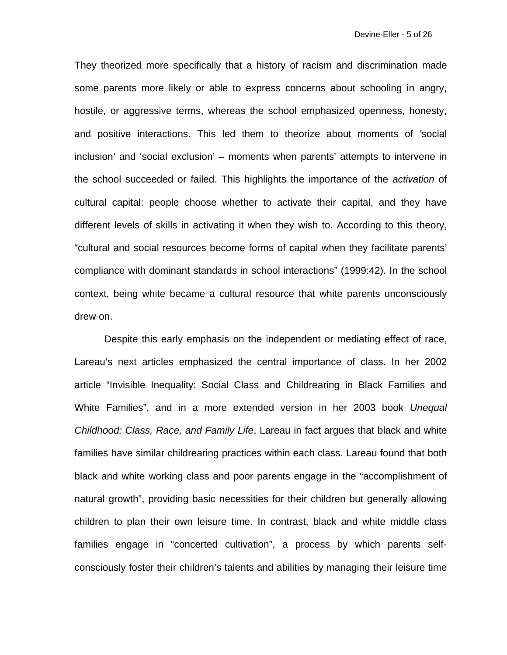They theorized more specifically that a history of racism and discrimination made some parents more likely or able to express concerns about schooling in angry, hostile, or aggressive terms, whereas the school emphasized openness, honesty, and positive interactions. This led them to theorize about moments of 'social inclusion' and 'social exclusion' – moments when parents' attempts to intervene in the school succeeded or failed. This highlights the importance of the *activation* of cultural capital: people choose whether to activate their capital, and they have different levels of skills in activating it when they wish to. According to this theory, "cultural and social resources become forms of capital when they facilitate parents' compliance with dominant standards in school interactions" (1999:42). In the school context, being white became a cultural resource that white parents unconsciously drew on.

 Despite this early emphasis on the independent or mediating effect of race, Lareau's next articles emphasized the central importance of class. In her 2002 article "Invisible Inequality: Social Class and Childrearing in Black Families and White Families", and in a more extended version in her 2003 book *Unequal Childhood: Class, Race, and Family Life*, Lareau in fact argues that black and white families have similar childrearing practices within each class. Lareau found that both black and white working class and poor parents engage in the "accomplishment of natural growth", providing basic necessities for their children but generally allowing children to plan their own leisure time. In contrast, black and white middle class families engage in "concerted cultivation", a process by which parents selfconsciously foster their children's talents and abilities by managing their leisure time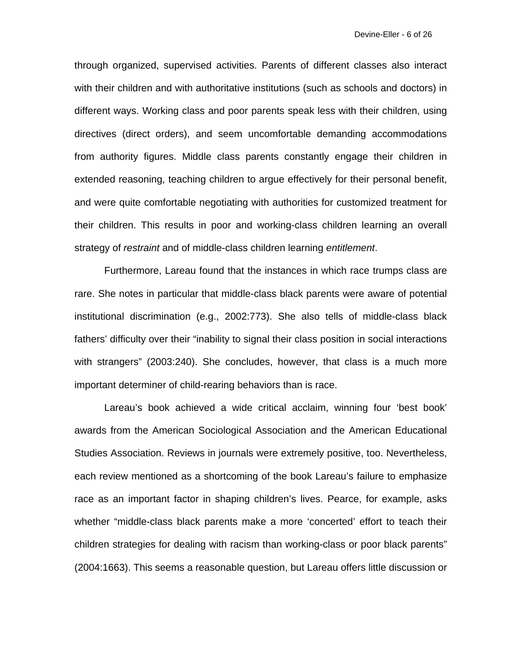through organized, supervised activities. Parents of different classes also interact with their children and with authoritative institutions (such as schools and doctors) in different ways. Working class and poor parents speak less with their children, using directives (direct orders), and seem uncomfortable demanding accommodations from authority figures. Middle class parents constantly engage their children in extended reasoning, teaching children to argue effectively for their personal benefit, and were quite comfortable negotiating with authorities for customized treatment for their children. This results in poor and working-class children learning an overall strategy of *restraint* and of middle-class children learning *entitlement*.

 Furthermore, Lareau found that the instances in which race trumps class are rare. She notes in particular that middle-class black parents were aware of potential institutional discrimination (e.g., 2002:773). She also tells of middle-class black fathers' difficulty over their "inability to signal their class position in social interactions with strangers" (2003:240). She concludes, however, that class is a much more important determiner of child-rearing behaviors than is race.

 Lareau's book achieved a wide critical acclaim, winning four 'best book' awards from the American Sociological Association and the American Educational Studies Association. Reviews in journals were extremely positive, too. Nevertheless, each review mentioned as a shortcoming of the book Lareau's failure to emphasize race as an important factor in shaping children's lives. Pearce, for example, asks whether "middle-class black parents make a more 'concerted' effort to teach their children strategies for dealing with racism than working-class or poor black parents" (2004:1663). This seems a reasonable question, but Lareau offers little discussion or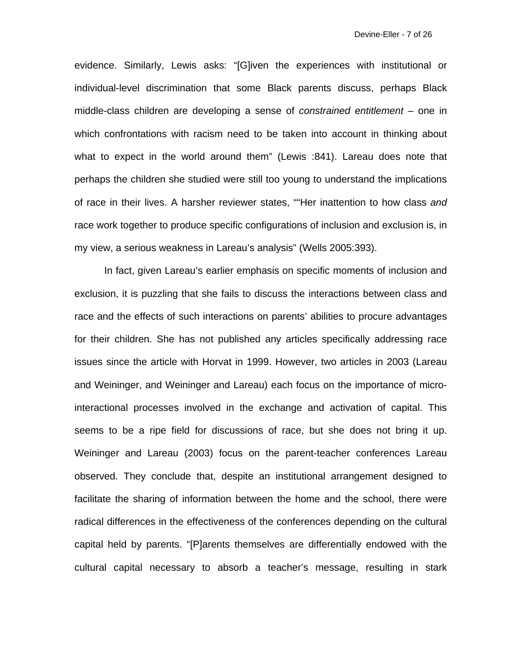evidence. Similarly, Lewis asks: "[G]iven the experiences with institutional or individual-level discrimination that some Black parents discuss, perhaps Black middle-class children are developing a sense of *constrained entitlement* – one in which confrontations with racism need to be taken into account in thinking about what to expect in the world around them" (Lewis :841). Lareau does note that perhaps the children she studied were still too young to understand the implications of race in their lives. A harsher reviewer states, ""Her inattention to how class *and*  race work together to produce specific configurations of inclusion and exclusion is, in my view, a serious weakness in Lareau's analysis" (Wells 2005:393).

 In fact, given Lareau's earlier emphasis on specific moments of inclusion and exclusion, it is puzzling that she fails to discuss the interactions between class and race and the effects of such interactions on parents' abilities to procure advantages for their children. She has not published any articles specifically addressing race issues since the article with Horvat in 1999. However, two articles in 2003 (Lareau and Weininger, and Weininger and Lareau) each focus on the importance of microinteractional processes involved in the exchange and activation of capital. This seems to be a ripe field for discussions of race, but she does not bring it up. Weininger and Lareau (2003) focus on the parent-teacher conferences Lareau observed. They conclude that, despite an institutional arrangement designed to facilitate the sharing of information between the home and the school, there were radical differences in the effectiveness of the conferences depending on the cultural capital held by parents. "[P]arents themselves are differentially endowed with the cultural capital necessary to absorb a teacher's message, resulting in stark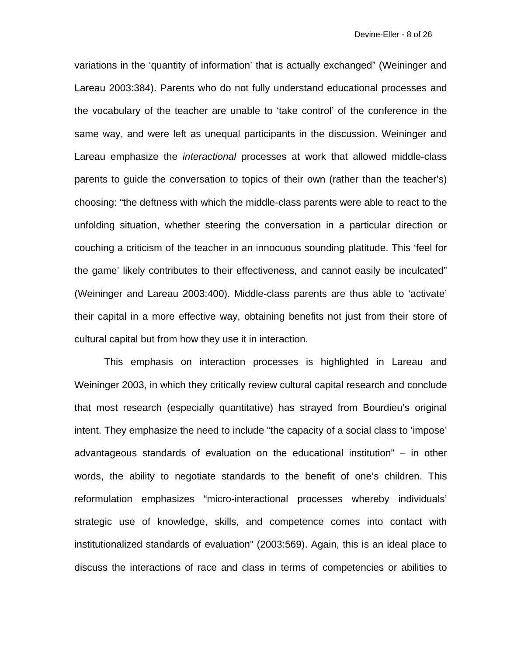variations in the 'quantity of information' that is actually exchanged" (Weininger and Lareau 2003:384). Parents who do not fully understand educational processes and the vocabulary of the teacher are unable to 'take control' of the conference in the same way, and were left as unequal participants in the discussion. Weininger and Lareau emphasize the *interactional* processes at work that allowed middle-class parents to guide the conversation to topics of their own (rather than the teacher's) choosing: "the deftness with which the middle-class parents were able to react to the unfolding situation, whether steering the conversation in a particular direction or couching a criticism of the teacher in an innocuous sounding platitude. This 'feel for the game' likely contributes to their effectiveness, and cannot easily be inculcated" (Weininger and Lareau 2003:400). Middle-class parents are thus able to 'activate' their capital in a more effective way, obtaining benefits not just from their store of cultural capital but from how they use it in interaction.

 This emphasis on interaction processes is highlighted in Lareau and Weininger 2003, in which they critically review cultural capital research and conclude that most research (especially quantitative) has strayed from Bourdieu's original intent. They emphasize the need to include "the capacity of a social class to 'impose' advantageous standards of evaluation on the educational institution" – in other words, the ability to negotiate standards to the benefit of one's children. This reformulation emphasizes "micro-interactional processes whereby individuals' strategic use of knowledge, skills, and competence comes into contact with institutionalized standards of evaluation" (2003:569). Again, this is an ideal place to discuss the interactions of race and class in terms of competencies or abilities to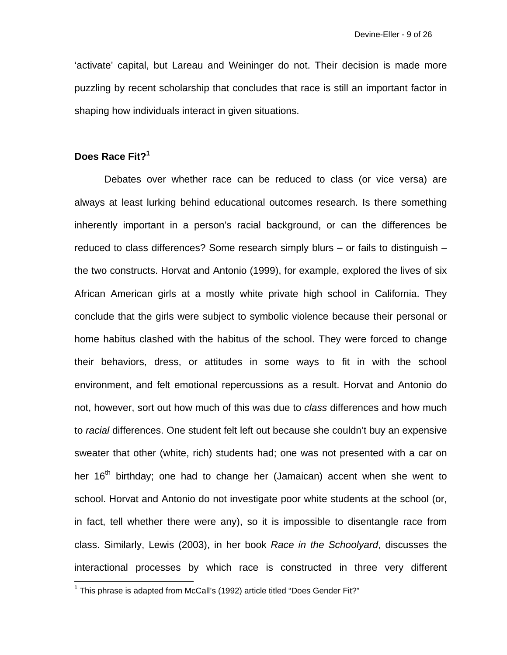'activate' capital, but Lareau and Weininger do not. Their decision is made more puzzling by recent scholarship that concludes that race is still an important factor in shaping how individuals interact in given situations.

# **Does Race Fit?1**

 $\overline{a}$ 

 Debates over whether race can be reduced to class (or vice versa) are always at least lurking behind educational outcomes research. Is there something inherently important in a person's racial background, or can the differences be reduced to class differences? Some research simply blurs – or fails to distinguish – the two constructs. Horvat and Antonio (1999), for example, explored the lives of six African American girls at a mostly white private high school in California. They conclude that the girls were subject to symbolic violence because their personal or home habitus clashed with the habitus of the school. They were forced to change their behaviors, dress, or attitudes in some ways to fit in with the school environment, and felt emotional repercussions as a result. Horvat and Antonio do not, however, sort out how much of this was due to *class* differences and how much to *racial* differences. One student felt left out because she couldn't buy an expensive sweater that other (white, rich) students had; one was not presented with a car on her 16<sup>th</sup> birthday; one had to change her (Jamaican) accent when she went to school. Horvat and Antonio do not investigate poor white students at the school (or, in fact, tell whether there were any), so it is impossible to disentangle race from class. Similarly, Lewis (2003), in her book *Race in the Schoolyard*, discusses the interactional processes by which race is constructed in three very different

<sup>&</sup>lt;sup>1</sup> This phrase is adapted from McCall's (1992) article titled "Does Gender Fit?"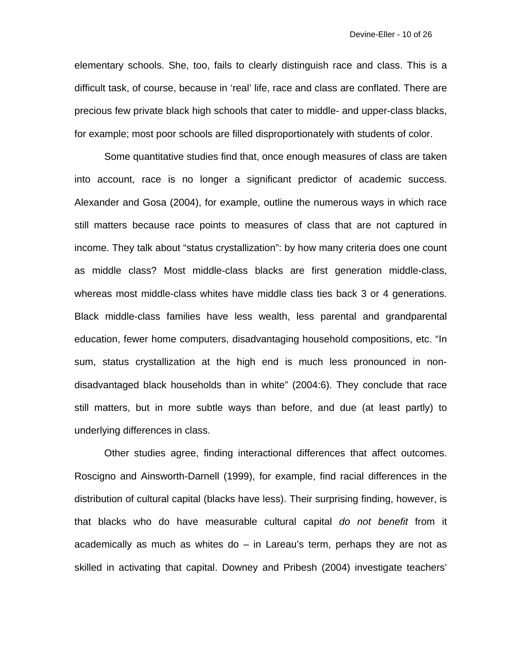elementary schools. She, too, fails to clearly distinguish race and class. This is a difficult task, of course, because in 'real' life, race and class are conflated. There are precious few private black high schools that cater to middle- and upper-class blacks, for example; most poor schools are filled disproportionately with students of color.

 Some quantitative studies find that, once enough measures of class are taken into account, race is no longer a significant predictor of academic success. Alexander and Gosa (2004), for example, outline the numerous ways in which race still matters because race points to measures of class that are not captured in income. They talk about "status crystallization": by how many criteria does one count as middle class? Most middle-class blacks are first generation middle-class, whereas most middle-class whites have middle class ties back 3 or 4 generations. Black middle-class families have less wealth, less parental and grandparental education, fewer home computers, disadvantaging household compositions, etc. "In sum, status crystallization at the high end is much less pronounced in nondisadvantaged black households than in white" (2004:6). They conclude that race still matters, but in more subtle ways than before, and due (at least partly) to underlying differences in class.

 Other studies agree, finding interactional differences that affect outcomes. Roscigno and Ainsworth-Darnell (1999), for example, find racial differences in the distribution of cultural capital (blacks have less). Their surprising finding, however, is that blacks who do have measurable cultural capital *do not benefit* from it academically as much as whites do – in Lareau's term, perhaps they are not as skilled in activating that capital. Downey and Pribesh (2004) investigate teachers'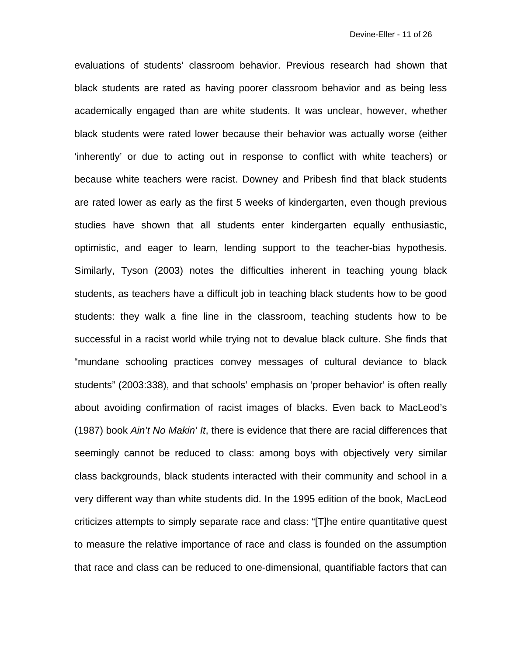evaluations of students' classroom behavior. Previous research had shown that black students are rated as having poorer classroom behavior and as being less academically engaged than are white students. It was unclear, however, whether black students were rated lower because their behavior was actually worse (either 'inherently' or due to acting out in response to conflict with white teachers) or because white teachers were racist. Downey and Pribesh find that black students are rated lower as early as the first 5 weeks of kindergarten, even though previous studies have shown that all students enter kindergarten equally enthusiastic, optimistic, and eager to learn, lending support to the teacher-bias hypothesis. Similarly, Tyson (2003) notes the difficulties inherent in teaching young black students, as teachers have a difficult job in teaching black students how to be good students: they walk a fine line in the classroom, teaching students how to be successful in a racist world while trying not to devalue black culture. She finds that "mundane schooling practices convey messages of cultural deviance to black students" (2003:338), and that schools' emphasis on 'proper behavior' is often really about avoiding confirmation of racist images of blacks. Even back to MacLeod's (1987) book *Ain't No Makin' It*, there is evidence that there are racial differences that seemingly cannot be reduced to class: among boys with objectively very similar class backgrounds, black students interacted with their community and school in a very different way than white students did. In the 1995 edition of the book, MacLeod criticizes attempts to simply separate race and class: "[T]he entire quantitative quest to measure the relative importance of race and class is founded on the assumption that race and class can be reduced to one-dimensional, quantifiable factors that can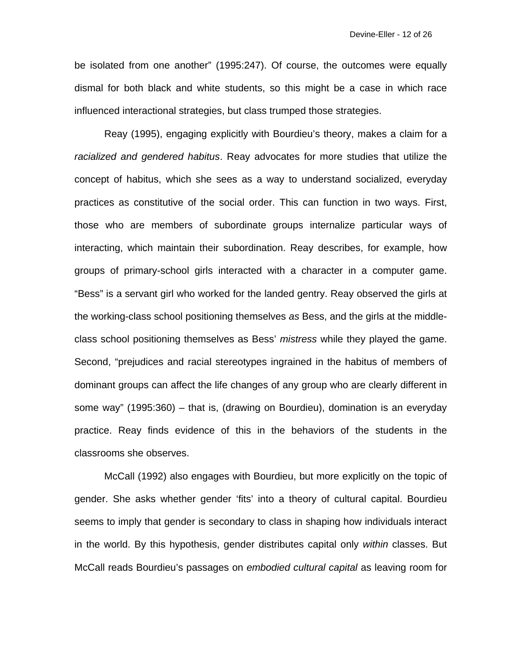be isolated from one another" (1995:247). Of course, the outcomes were equally dismal for both black and white students, so this might be a case in which race influenced interactional strategies, but class trumped those strategies.

 Reay (1995), engaging explicitly with Bourdieu's theory, makes a claim for a *racialized and gendered habitus*. Reay advocates for more studies that utilize the concept of habitus, which she sees as a way to understand socialized, everyday practices as constitutive of the social order. This can function in two ways. First, those who are members of subordinate groups internalize particular ways of interacting, which maintain their subordination. Reay describes, for example, how groups of primary-school girls interacted with a character in a computer game. "Bess" is a servant girl who worked for the landed gentry. Reay observed the girls at the working-class school positioning themselves *as* Bess, and the girls at the middleclass school positioning themselves as Bess' *mistress* while they played the game. Second, "prejudices and racial stereotypes ingrained in the habitus of members of dominant groups can affect the life changes of any group who are clearly different in some way" (1995:360) – that is, (drawing on Bourdieu), domination is an everyday practice. Reay finds evidence of this in the behaviors of the students in the classrooms she observes.

 McCall (1992) also engages with Bourdieu, but more explicitly on the topic of gender. She asks whether gender 'fits' into a theory of cultural capital. Bourdieu seems to imply that gender is secondary to class in shaping how individuals interact in the world. By this hypothesis, gender distributes capital only *within* classes. But McCall reads Bourdieu's passages on *embodied cultural capital* as leaving room for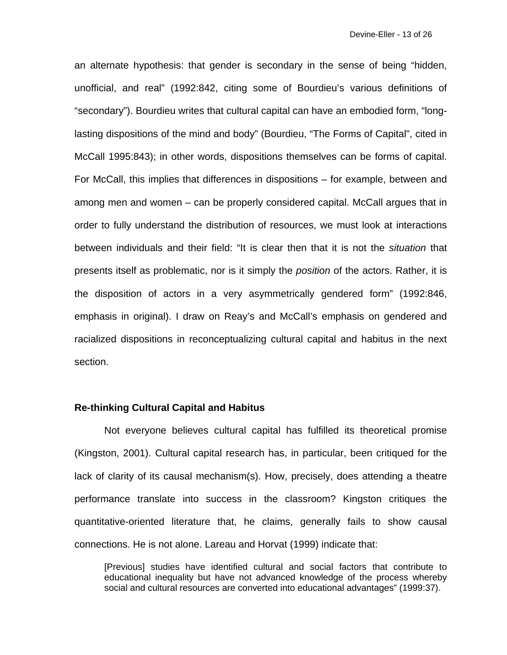an alternate hypothesis: that gender is secondary in the sense of being "hidden, unofficial, and real" (1992:842, citing some of Bourdieu's various definitions of "secondary"). Bourdieu writes that cultural capital can have an embodied form, "longlasting dispositions of the mind and body" (Bourdieu, "The Forms of Capital", cited in McCall 1995:843); in other words, dispositions themselves can be forms of capital. For McCall, this implies that differences in dispositions – for example, between and among men and women – can be properly considered capital. McCall argues that in order to fully understand the distribution of resources, we must look at interactions between individuals and their field: "It is clear then that it is not the *situation* that presents itself as problematic, nor is it simply the *position* of the actors. Rather, it is the disposition of actors in a very asymmetrically gendered form" (1992:846, emphasis in original). I draw on Reay's and McCall's emphasis on gendered and racialized dispositions in reconceptualizing cultural capital and habitus in the next section.

## **Re-thinking Cultural Capital and Habitus**

 Not everyone believes cultural capital has fulfilled its theoretical promise (Kingston, 2001). Cultural capital research has, in particular, been critiqued for the lack of clarity of its causal mechanism(s). How, precisely, does attending a theatre performance translate into success in the classroom? Kingston critiques the quantitative-oriented literature that, he claims, generally fails to show causal connections. He is not alone. Lareau and Horvat (1999) indicate that:

[Previous] studies have identified cultural and social factors that contribute to educational inequality but have not advanced knowledge of the process whereby social and cultural resources are converted into educational advantages" (1999:37).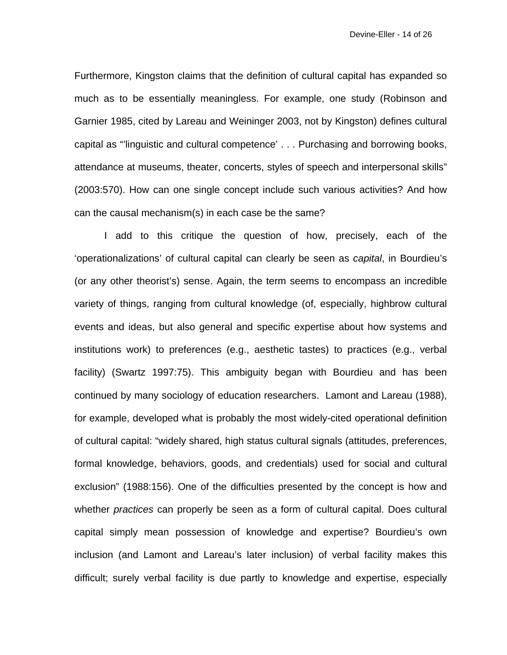Furthermore, Kingston claims that the definition of cultural capital has expanded so much as to be essentially meaningless. For example, one study (Robinson and Garnier 1985, cited by Lareau and Weininger 2003, not by Kingston) defines cultural capital as "'linguistic and cultural competence' . . . Purchasing and borrowing books, attendance at museums, theater, concerts, styles of speech and interpersonal skills" (2003:570). How can one single concept include such various activities? And how can the causal mechanism(s) in each case be the same?

 I add to this critique the question of how, precisely, each of the 'operationalizations' of cultural capital can clearly be seen as *capital*, in Bourdieu's (or any other theorist's) sense. Again, the term seems to encompass an incredible variety of things, ranging from cultural knowledge (of, especially, highbrow cultural events and ideas, but also general and specific expertise about how systems and institutions work) to preferences (e.g., aesthetic tastes) to practices (e.g., verbal facility) (Swartz 1997:75). This ambiguity began with Bourdieu and has been continued by many sociology of education researchers. Lamont and Lareau (1988), for example, developed what is probably the most widely-cited operational definition of cultural capital: "widely shared, high status cultural signals (attitudes, preferences, formal knowledge, behaviors, goods, and credentials) used for social and cultural exclusion" (1988:156). One of the difficulties presented by the concept is how and whether *practices* can properly be seen as a form of cultural capital. Does cultural capital simply mean possession of knowledge and expertise? Bourdieu's own inclusion (and Lamont and Lareau's later inclusion) of verbal facility makes this difficult; surely verbal facility is due partly to knowledge and expertise, especially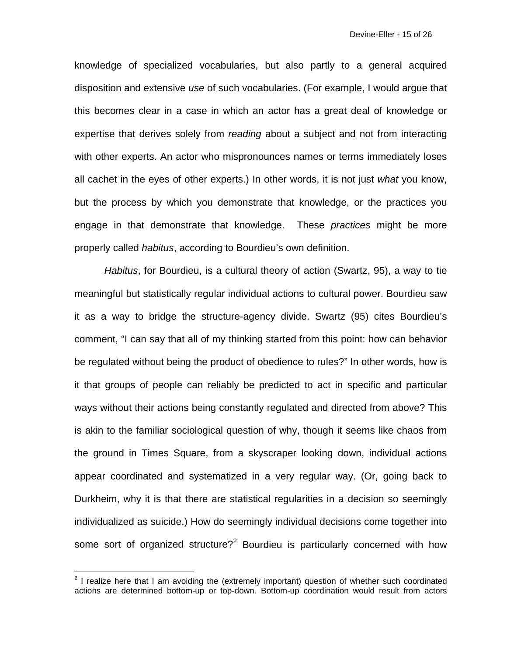knowledge of specialized vocabularies, but also partly to a general acquired disposition and extensive *use* of such vocabularies. (For example, I would argue that this becomes clear in a case in which an actor has a great deal of knowledge or expertise that derives solely from *reading* about a subject and not from interacting with other experts. An actor who mispronounces names or terms immediately loses all cachet in the eyes of other experts.) In other words, it is not just *what* you know, but the process by which you demonstrate that knowledge, or the practices you engage in that demonstrate that knowledge. These *practices* might be more properly called *habitus*, according to Bourdieu's own definition.

*Habitus*, for Bourdieu, is a cultural theory of action (Swartz, 95), a way to tie meaningful but statistically regular individual actions to cultural power. Bourdieu saw it as a way to bridge the structure-agency divide. Swartz (95) cites Bourdieu's comment, "I can say that all of my thinking started from this point: how can behavior be regulated without being the product of obedience to rules?" In other words, how is it that groups of people can reliably be predicted to act in specific and particular ways without their actions being constantly regulated and directed from above? This is akin to the familiar sociological question of why, though it seems like chaos from the ground in Times Square, from a skyscraper looking down, individual actions appear coordinated and systematized in a very regular way. (Or, going back to Durkheim, why it is that there are statistical regularities in a decision so seemingly individualized as suicide.) How do seemingly individual decisions come together into some sort of organized structure?<sup>2</sup> Bourdieu is particularly concerned with how

**EXECUTE:**<br><sup>2</sup> I realize here that I am avoiding the (extremely important) question of whether such coordinated actions are determined bottom-up or top-down. Bottom-up coordination would result from actors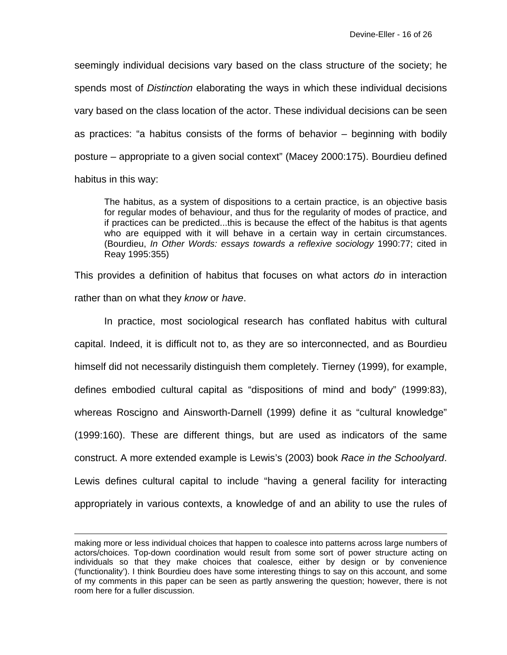seemingly individual decisions vary based on the class structure of the society; he spends most of *Distinction* elaborating the ways in which these individual decisions vary based on the class location of the actor. These individual decisions can be seen as practices: "a habitus consists of the forms of behavior – beginning with bodily posture – appropriate to a given social context" (Macey 2000:175). Bourdieu defined habitus in this way:

The habitus, as a system of dispositions to a certain practice, is an objective basis for regular modes of behaviour, and thus for the regularity of modes of practice, and if practices can be predicted...this is because the effect of the habitus is that agents who are equipped with it will behave in a certain way in certain circumstances. (Bourdieu, *In Other Words: essays towards a reflexive sociology* 1990:77; cited in Reay 1995:355)

This provides a definition of habitus that focuses on what actors *do* in interaction rather than on what they *know* or *have*.

 In practice, most sociological research has conflated habitus with cultural capital. Indeed, it is difficult not to, as they are so interconnected, and as Bourdieu himself did not necessarily distinguish them completely. Tierney (1999), for example, defines embodied cultural capital as "dispositions of mind and body" (1999:83), whereas Roscigno and Ainsworth-Darnell (1999) define it as "cultural knowledge" (1999:160). These are different things, but are used as indicators of the same construct. A more extended example is Lewis's (2003) book *Race in the Schoolyard*. Lewis defines cultural capital to include "having a general facility for interacting appropriately in various contexts, a knowledge of and an ability to use the rules of

 $\overline{a}$ 

making more or less individual choices that happen to coalesce into patterns across large numbers of actors/choices. Top-down coordination would result from some sort of power structure acting on individuals so that they make choices that coalesce, either by design or by convenience ('functionality'). I think Bourdieu does have some interesting things to say on this account, and some of my comments in this paper can be seen as partly answering the question; however, there is not room here for a fuller discussion.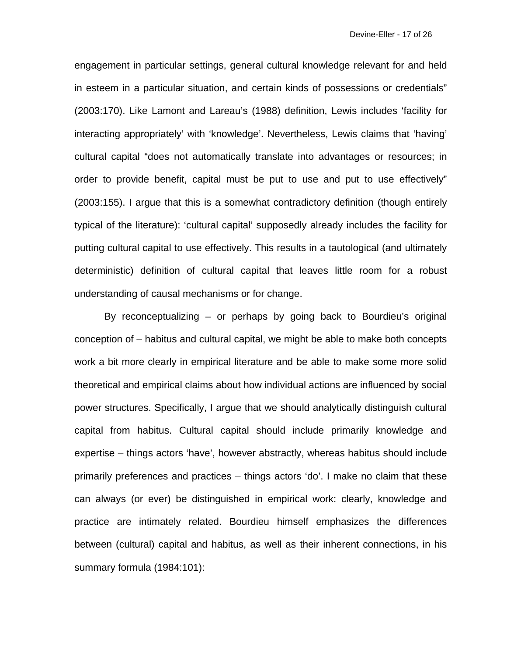engagement in particular settings, general cultural knowledge relevant for and held in esteem in a particular situation, and certain kinds of possessions or credentials" (2003:170). Like Lamont and Lareau's (1988) definition, Lewis includes 'facility for interacting appropriately' with 'knowledge'. Nevertheless, Lewis claims that 'having' cultural capital "does not automatically translate into advantages or resources; in order to provide benefit, capital must be put to use and put to use effectively" (2003:155). I argue that this is a somewhat contradictory definition (though entirely typical of the literature): 'cultural capital' supposedly already includes the facility for putting cultural capital to use effectively. This results in a tautological (and ultimately deterministic) definition of cultural capital that leaves little room for a robust understanding of causal mechanisms or for change.

 By reconceptualizing – or perhaps by going back to Bourdieu's original conception of – habitus and cultural capital, we might be able to make both concepts work a bit more clearly in empirical literature and be able to make some more solid theoretical and empirical claims about how individual actions are influenced by social power structures. Specifically, I argue that we should analytically distinguish cultural capital from habitus. Cultural capital should include primarily knowledge and expertise – things actors 'have', however abstractly, whereas habitus should include primarily preferences and practices – things actors 'do'. I make no claim that these can always (or ever) be distinguished in empirical work: clearly, knowledge and practice are intimately related. Bourdieu himself emphasizes the differences between (cultural) capital and habitus, as well as their inherent connections, in his summary formula (1984:101):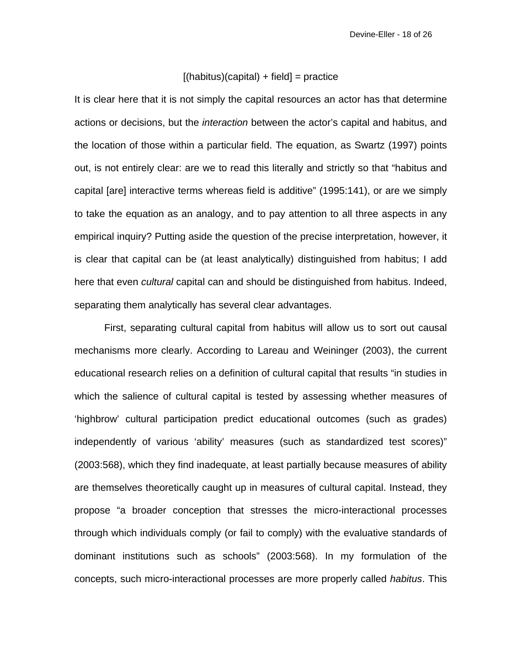### $[(\text{habitus})(\text{capital}) + \text{field}] = \text{practive}$

It is clear here that it is not simply the capital resources an actor has that determine actions or decisions, but the *interaction* between the actor's capital and habitus, and the location of those within a particular field. The equation, as Swartz (1997) points out, is not entirely clear: are we to read this literally and strictly so that "habitus and capital [are] interactive terms whereas field is additive" (1995:141), or are we simply to take the equation as an analogy, and to pay attention to all three aspects in any empirical inquiry? Putting aside the question of the precise interpretation, however, it is clear that capital can be (at least analytically) distinguished from habitus; I add here that even *cultural* capital can and should be distinguished from habitus. Indeed, separating them analytically has several clear advantages.

 First, separating cultural capital from habitus will allow us to sort out causal mechanisms more clearly. According to Lareau and Weininger (2003), the current educational research relies on a definition of cultural capital that results "in studies in which the salience of cultural capital is tested by assessing whether measures of 'highbrow' cultural participation predict educational outcomes (such as grades) independently of various 'ability' measures (such as standardized test scores)" (2003:568), which they find inadequate, at least partially because measures of ability are themselves theoretically caught up in measures of cultural capital. Instead, they propose "a broader conception that stresses the micro-interactional processes through which individuals comply (or fail to comply) with the evaluative standards of dominant institutions such as schools" (2003:568). In my formulation of the concepts, such micro-interactional processes are more properly called *habitus*. This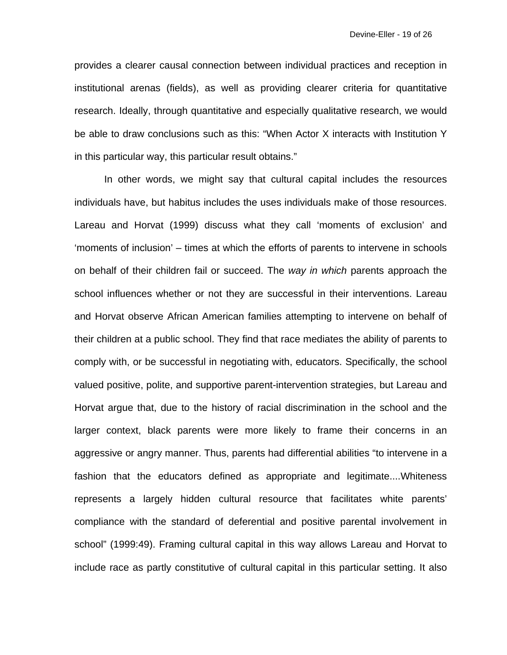provides a clearer causal connection between individual practices and reception in institutional arenas (fields), as well as providing clearer criteria for quantitative research. Ideally, through quantitative and especially qualitative research, we would be able to draw conclusions such as this: "When Actor X interacts with Institution Y in this particular way, this particular result obtains."

 In other words, we might say that cultural capital includes the resources individuals have, but habitus includes the uses individuals make of those resources. Lareau and Horvat (1999) discuss what they call 'moments of exclusion' and 'moments of inclusion' – times at which the efforts of parents to intervene in schools on behalf of their children fail or succeed. The *way in which* parents approach the school influences whether or not they are successful in their interventions. Lareau and Horvat observe African American families attempting to intervene on behalf of their children at a public school. They find that race mediates the ability of parents to comply with, or be successful in negotiating with, educators. Specifically, the school valued positive, polite, and supportive parent-intervention strategies, but Lareau and Horvat argue that, due to the history of racial discrimination in the school and the larger context, black parents were more likely to frame their concerns in an aggressive or angry manner. Thus, parents had differential abilities "to intervene in a fashion that the educators defined as appropriate and legitimate....Whiteness represents a largely hidden cultural resource that facilitates white parents' compliance with the standard of deferential and positive parental involvement in school" (1999:49). Framing cultural capital in this way allows Lareau and Horvat to include race as partly constitutive of cultural capital in this particular setting. It also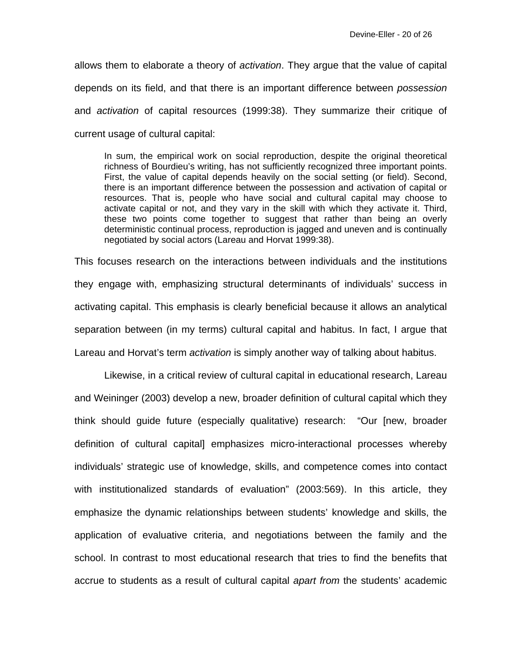allows them to elaborate a theory of *activation*. They argue that the value of capital depends on its field, and that there is an important difference between *possession*  and *activation* of capital resources (1999:38). They summarize their critique of current usage of cultural capital:

In sum, the empirical work on social reproduction, despite the original theoretical richness of Bourdieu's writing, has not sufficiently recognized three important points. First, the value of capital depends heavily on the social setting (or field). Second, there is an important difference between the possession and activation of capital or resources. That is, people who have social and cultural capital may choose to activate capital or not, and they vary in the skill with which they activate it. Third, these two points come together to suggest that rather than being an overly deterministic continual process, reproduction is jagged and uneven and is continually negotiated by social actors (Lareau and Horvat 1999:38).

This focuses research on the interactions between individuals and the institutions they engage with, emphasizing structural determinants of individuals' success in activating capital. This emphasis is clearly beneficial because it allows an analytical separation between (in my terms) cultural capital and habitus. In fact, I argue that Lareau and Horvat's term *activation* is simply another way of talking about habitus.

 Likewise, in a critical review of cultural capital in educational research, Lareau and Weininger (2003) develop a new, broader definition of cultural capital which they think should guide future (especially qualitative) research: "Our [new, broader definition of cultural capital] emphasizes micro-interactional processes whereby individuals' strategic use of knowledge, skills, and competence comes into contact with institutionalized standards of evaluation" (2003:569). In this article, they emphasize the dynamic relationships between students' knowledge and skills, the application of evaluative criteria, and negotiations between the family and the school. In contrast to most educational research that tries to find the benefits that accrue to students as a result of cultural capital *apart from* the students' academic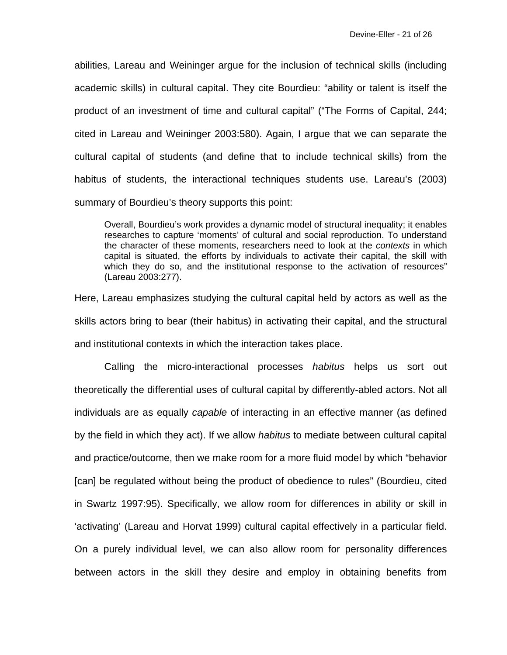abilities, Lareau and Weininger argue for the inclusion of technical skills (including academic skills) in cultural capital. They cite Bourdieu: "ability or talent is itself the product of an investment of time and cultural capital" ("The Forms of Capital, 244; cited in Lareau and Weininger 2003:580). Again, I argue that we can separate the cultural capital of students (and define that to include technical skills) from the habitus of students, the interactional techniques students use. Lareau's (2003) summary of Bourdieu's theory supports this point:

Overall, Bourdieu's work provides a dynamic model of structural inequality; it enables researches to capture 'moments' of cultural and social reproduction. To understand the character of these moments, researchers need to look at the *contexts* in which capital is situated, the efforts by individuals to activate their capital, the skill with which they do so, and the institutional response to the activation of resources" (Lareau 2003:277).

Here, Lareau emphasizes studying the cultural capital held by actors as well as the skills actors bring to bear (their habitus) in activating their capital, and the structural and institutional contexts in which the interaction takes place.

 Calling the micro-interactional processes *habitus* helps us sort out theoretically the differential uses of cultural capital by differently-abled actors. Not all individuals are as equally *capable* of interacting in an effective manner (as defined by the field in which they act). If we allow *habitus* to mediate between cultural capital and practice/outcome, then we make room for a more fluid model by which "behavior [can] be regulated without being the product of obedience to rules" (Bourdieu, cited in Swartz 1997:95). Specifically, we allow room for differences in ability or skill in 'activating' (Lareau and Horvat 1999) cultural capital effectively in a particular field. On a purely individual level, we can also allow room for personality differences between actors in the skill they desire and employ in obtaining benefits from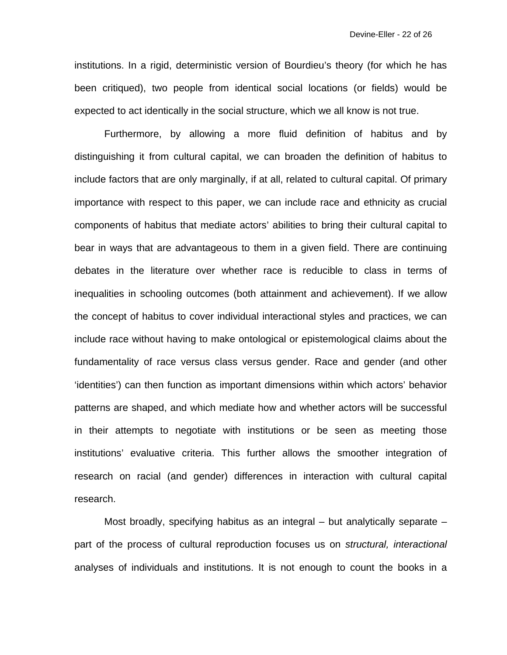institutions. In a rigid, deterministic version of Bourdieu's theory (for which he has been critiqued), two people from identical social locations (or fields) would be expected to act identically in the social structure, which we all know is not true.

 Furthermore, by allowing a more fluid definition of habitus and by distinguishing it from cultural capital, we can broaden the definition of habitus to include factors that are only marginally, if at all, related to cultural capital. Of primary importance with respect to this paper, we can include race and ethnicity as crucial components of habitus that mediate actors' abilities to bring their cultural capital to bear in ways that are advantageous to them in a given field. There are continuing debates in the literature over whether race is reducible to class in terms of inequalities in schooling outcomes (both attainment and achievement). If we allow the concept of habitus to cover individual interactional styles and practices, we can include race without having to make ontological or epistemological claims about the fundamentality of race versus class versus gender. Race and gender (and other 'identities') can then function as important dimensions within which actors' behavior patterns are shaped, and which mediate how and whether actors will be successful in their attempts to negotiate with institutions or be seen as meeting those institutions' evaluative criteria. This further allows the smoother integration of research on racial (and gender) differences in interaction with cultural capital research.

 Most broadly, specifying habitus as an integral – but analytically separate – part of the process of cultural reproduction focuses us on *structural, interactional*  analyses of individuals and institutions. It is not enough to count the books in a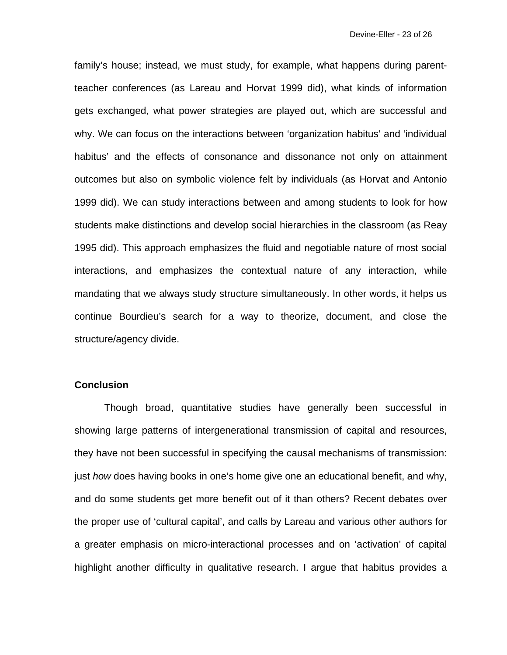family's house; instead, we must study, for example, what happens during parentteacher conferences (as Lareau and Horvat 1999 did), what kinds of information gets exchanged, what power strategies are played out, which are successful and why. We can focus on the interactions between 'organization habitus' and 'individual habitus' and the effects of consonance and dissonance not only on attainment outcomes but also on symbolic violence felt by individuals (as Horvat and Antonio 1999 did). We can study interactions between and among students to look for how students make distinctions and develop social hierarchies in the classroom (as Reay 1995 did). This approach emphasizes the fluid and negotiable nature of most social interactions, and emphasizes the contextual nature of any interaction, while mandating that we always study structure simultaneously. In other words, it helps us continue Bourdieu's search for a way to theorize, document, and close the structure/agency divide.

#### **Conclusion**

 Though broad, quantitative studies have generally been successful in showing large patterns of intergenerational transmission of capital and resources, they have not been successful in specifying the causal mechanisms of transmission: just *how* does having books in one's home give one an educational benefit, and why, and do some students get more benefit out of it than others? Recent debates over the proper use of 'cultural capital', and calls by Lareau and various other authors for a greater emphasis on micro-interactional processes and on 'activation' of capital highlight another difficulty in qualitative research. I argue that habitus provides a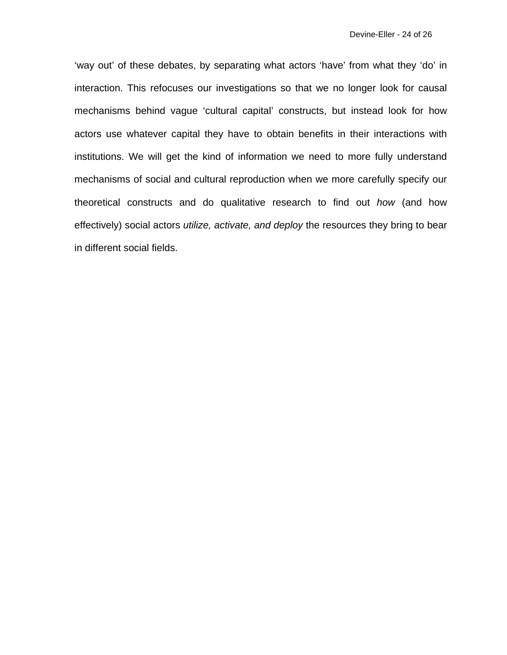'way out' of these debates, by separating what actors 'have' from what they 'do' in interaction. This refocuses our investigations so that we no longer look for causal mechanisms behind vague 'cultural capital' constructs, but instead look for how actors use whatever capital they have to obtain benefits in their interactions with institutions. We will get the kind of information we need to more fully understand mechanisms of social and cultural reproduction when we more carefully specify our theoretical constructs and do qualitative research to find out *how* (and how effectively) social actors *utilize, activate, and deploy* the resources they bring to bear in different social fields.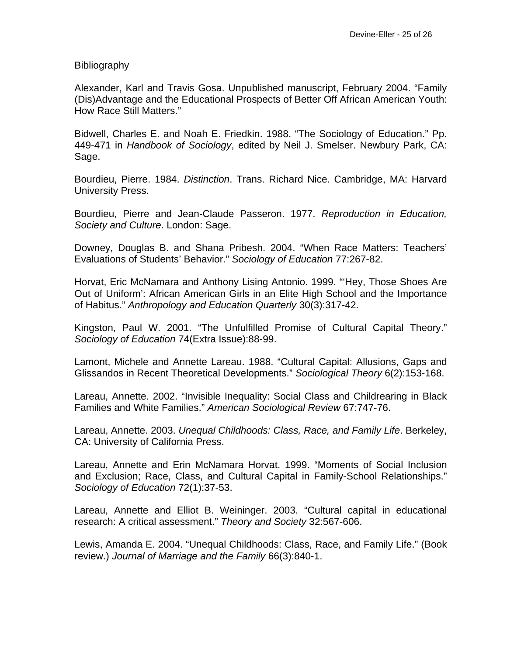Bibliography

Alexander, Karl and Travis Gosa. Unpublished manuscript, February 2004. "Family (Dis)Advantage and the Educational Prospects of Better Off African American Youth: How Race Still Matters."

Bidwell, Charles E. and Noah E. Friedkin. 1988. "The Sociology of Education." Pp. 449-471 in *Handbook of Sociology*, edited by Neil J. Smelser. Newbury Park, CA: Sage.

Bourdieu, Pierre. 1984. *Distinction*. Trans. Richard Nice. Cambridge, MA: Harvard University Press.

Bourdieu, Pierre and Jean-Claude Passeron. 1977. *Reproduction in Education, Society and Culture*. London: Sage.

Downey, Douglas B. and Shana Pribesh. 2004. "When Race Matters: Teachers' Evaluations of Students' Behavior." *Sociology of Education* 77:267-82.

Horvat, Eric McNamara and Anthony Lising Antonio. 1999. "'Hey, Those Shoes Are Out of Uniform': African American Girls in an Elite High School and the Importance of Habitus." *Anthropology and Education Quarterly* 30(3):317-42.

Kingston, Paul W. 2001. "The Unfulfilled Promise of Cultural Capital Theory." *Sociology of Education* 74(Extra Issue):88-99.

Lamont, Michele and Annette Lareau. 1988. "Cultural Capital: Allusions, Gaps and Glissandos in Recent Theoretical Developments." *Sociological Theory* 6(2):153-168.

Lareau, Annette. 2002. "Invisible Inequality: Social Class and Childrearing in Black Families and White Families." *American Sociological Review* 67:747-76.

Lareau, Annette. 2003. *Unequal Childhoods: Class, Race, and Family Life*. Berkeley, CA: University of California Press.

Lareau, Annette and Erin McNamara Horvat. 1999. "Moments of Social Inclusion and Exclusion; Race, Class, and Cultural Capital in Family-School Relationships." *Sociology of Education* 72(1):37-53.

Lareau, Annette and Elliot B. Weininger. 2003. "Cultural capital in educational research: A critical assessment." *Theory and Society* 32:567-606.

Lewis, Amanda E. 2004. "Unequal Childhoods: Class, Race, and Family Life." (Book review.) *Journal of Marriage and the Family* 66(3):840-1.